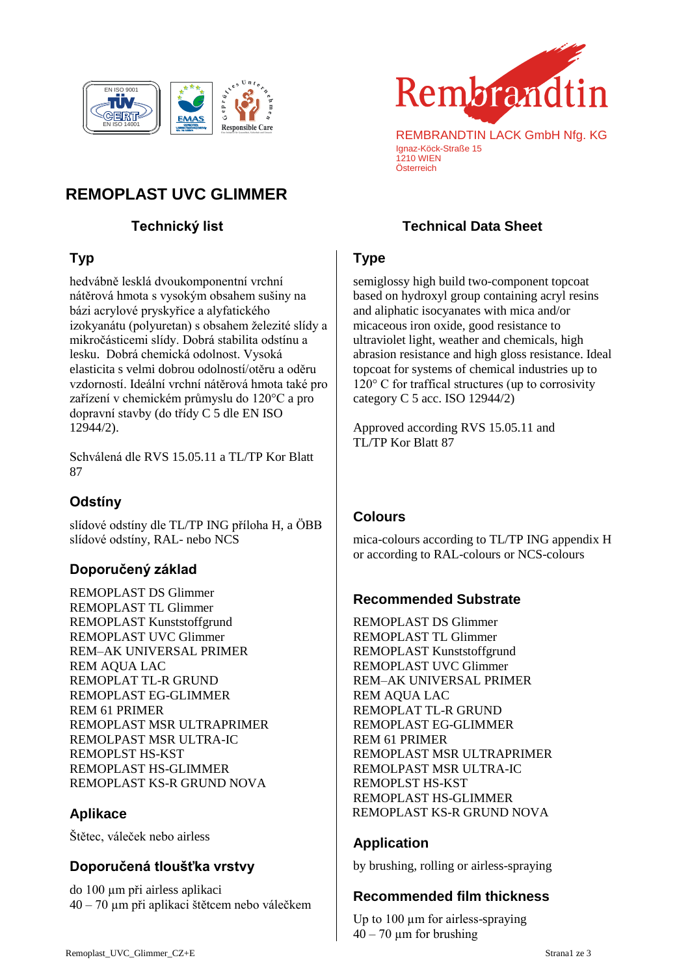



## **Typ**

hedvábně lesklá dvoukomponentní vrchní nátěrová hmota s vysokým obsahem sušiny na bázi acrylové pryskyřice a alyfatického izokyanátu (polyuretan) s obsahem železité slídy a mikročásticemi slídy. Dobrá stabilita odstínu a lesku. Dobrá chemická odolnost. Vysoká elasticita s velmi dobrou odolností/otěru a oděru vzdorností. Ideální vrchní nátěrová hmota také pro zařízení v chemickém průmyslu do 120°C a pro dopravní stavby (do třídy C 5 dle EN ISO 12944/2).

Schválená dle RVS 15.05.11 a TL/TP Kor Blatt 87

#### **Odstíny**

slídové odstíny dle TL/TP ING příloha H, a ÖBB slídové odstíny, RAL- nebo NCS

#### **Doporučený základ**

REMOPLAST DS Glimmer REMOPLAST TL Glimmer REMOPLAST Kunststoffgrund REMOPLAST UVC Glimmer REM–AK UNIVERSAL PRIMER REM AQUA LAC REMOPLAT TL-R GRUND REMOPLAST EG-GLIMMER REM 61 PRIMER REMOPLAST MSR ULTRAPRIMER REMOLPAST MSR ULTRA-IC REMOPLST HS-KST REMOPLAST HS-GLIMMER REMOPLAST KS-R GRUND NOVA

#### **Aplikace**

Štětec, váleček nebo airless

#### **Doporučená tloušťka vrstvy**

do 100 µm při airless aplikaci 40 – 70 µm při aplikaci štětcem nebo válečkem



REMBRANDTIN LACK GmbH Nfg. KG Ignaz-Köck-Straße 15 1210 WIEN Österreich

# **Technický list Technical Data Sheet**

## **Type**

semiglossy high build two-component topcoat based on hydroxyl group containing acryl resins and aliphatic isocyanates with mica and/or micaceous iron oxide, good resistance to ultraviolet light, weather and chemicals, high abrasion resistance and high gloss resistance. Ideal topcoat for systems of chemical industries up to 120° C for traffical structures (up to corrosivity category C 5 acc. ISO 12944/2)

Approved according RVS 15.05.11 and TL/TP Kor Blatt 87

#### **Colours**

mica-colours according to TL/TP ING appendix H or according to RAL-colours or NCS-colours

#### **Recommended Substrate**

REMOPLAST DS Glimmer REMOPLAST TL Glimmer REMOPLAST Kunststoffgrund REMOPLAST UVC Glimmer REM–AK UNIVERSAL PRIMER REM AQUA LAC REMOPLAT TL-R GRUND REMOPLAST EG-GLIMMER REM 61 PRIMER REMOPLAST MSR ULTRAPRIMER REMOLPAST MSR ULTRA-IC REMOPLST HS-KST REMOPLAST HS-GLIMMER REMOPLAST KS-R GRUND NOVA

#### **Application**

by brushing, rolling or airless-spraying

#### **Recommended film thickness**

Up to 100 um for airless-spraying  $40 - 70$  µm for brushing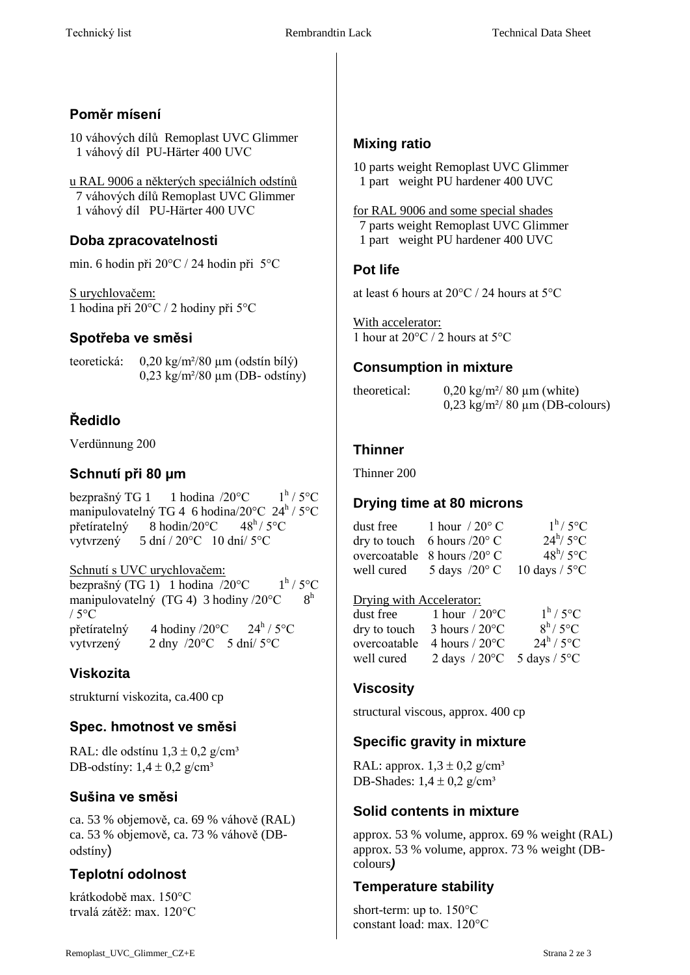# **Poměr mísení**

10 váhových dílů Remoplast UVC Glimmer 1 váhový díl PU-Härter 400 UVC

u RAL 9006 a některých speciálních odstínů 7 váhových dílů Remoplast UVC Glimmer 1 váhový díl PU-Härter 400 UVC

# **Doba zpracovatelnosti**

min. 6 hodin při 20°C / 24 hodin při 5°C

S urychlovačem: 1 hodina při 20°C / 2 hodiny při 5°C

# **Spotřeba ve směsi**

teoretická: 0,20 kg/m²/80 µm (odstín bílý) 0,23 kg/m²/80 µm (DB- odstíny)

# **Ředidlo**

Verdünnung 200

# **Schnutí při 80 µm**

bezprašný TG 1 1 hodina  $/20^{\circ}$ C  $1^{\rm h}$  / 5°C manipulovatelný TG 4 6 hodina/20°C 24<sup>h</sup> / 5°C přetíratelný 8 hodin/20 $\degree$ C 48<sup>h</sup>/ 5 $\degree$ C vytvrzený 5 dní / 20°C 10 dní/ 5°C

Schnutí s UVC urychlovačem: bezprašný (TG 1) 1 hodina  $/20^{\circ}$ C  $h/5$ °C manipulovatelný (TG 4) 3 hodiny  $/20^{\circ}$ C  $8<sup>h</sup>$ / 5°C přetíratelný 4 hodiny  $/20^{\circ}$ C  $24^{\rm h}$  / 5°C vytvrzený 2 dny /20°C 5 dní/ 5°C

# **Viskozita**

strukturní viskozita, ca.400 cp

# **Spec. hmotnost ve směsi**

RAL: dle odstínu  $1,3 \pm 0,2$  g/cm<sup>3</sup> DB-odstíny:  $1.4 \pm 0.2$  g/cm<sup>3</sup>

# **Sušina ve směsi**

ca. 53 % objemově, ca. 69 % váhově (RAL) ca. 53 % objemově, ca. 73 % váhově (DBodstíny)

# **Teplotní odolnost**

krátkodobě max. 150°C trvalá zátěž: max. 120°C

## **Mixing ratio**

10 parts weight Remoplast UVC Glimmer 1 part weight PU hardener 400 UVC

for RAL 9006 and some special shades 7 parts weight Remoplast UVC Glimmer 1 part weight PU hardener 400 UVC

# **Pot life**

at least 6 hours at 20°C / 24 hours at 5°C

With accelerator: 1 hour at  $20^{\circ}$ C / 2 hours at 5 $^{\circ}$ C

# **Consumption in mixture**

theoretical:  $0,20 \text{ kg/m}^2/80 \text{ µm}$  (white)

 $0,23 \text{ kg/m}^2/80 \text{ }\mu\text{m}$  (DB-colours)

# **Thinner**

Thinner 200

# **Drying time at 80 microns**

| dust free  | 1 hour $/20^{\circ}$ C               | $1^{\rm h}$ / 5 <sup>o</sup> C |
|------------|--------------------------------------|--------------------------------|
|            | dry to touch 6 hours $/20^{\circ}$ C | $24^{\rm h}$ / 5°C             |
|            | overcoatable 8 hours $/20^{\circ}$ C | $48^{\rm h}$ / 5°C             |
| well cured | 5 days $/20^{\circ}$ C               | 10 days / $5^{\circ}$ C        |

#### Drying with Accelerator:

| dust free    | 1 hour $/20^{\circ}$ C                       | $1^{\rm h}$ / 5°C    |
|--------------|----------------------------------------------|----------------------|
| dry to touch | 3 hours $/20^{\circ}$ C                      | $8^{\rm h}$ / 5°C    |
| overcoatable | 4 hours $/20^{\circ}$ C                      | $24^h / 5^{\circ}$ C |
| well cured   | 2 days $/20^{\circ}$ C 5 days $/5^{\circ}$ C |                      |

# **Viscosity**

structural viscous, approx. 400 cp

# **Specific gravity in mixture**

RAL: approx.  $1,3 \pm 0,2$  g/cm<sup>3</sup> DB-Shades:  $1.4 \pm 0.2$  g/cm<sup>3</sup>

# **Solid contents in mixture**

approx. 53 % volume, approx. 69 % weight (RAL) approx. 53 % volume, approx. 73 % weight (DBcolours*)*

# **Temperature stability**

short-term: up to. 150<sup>o</sup>C constant load: max. 120°C